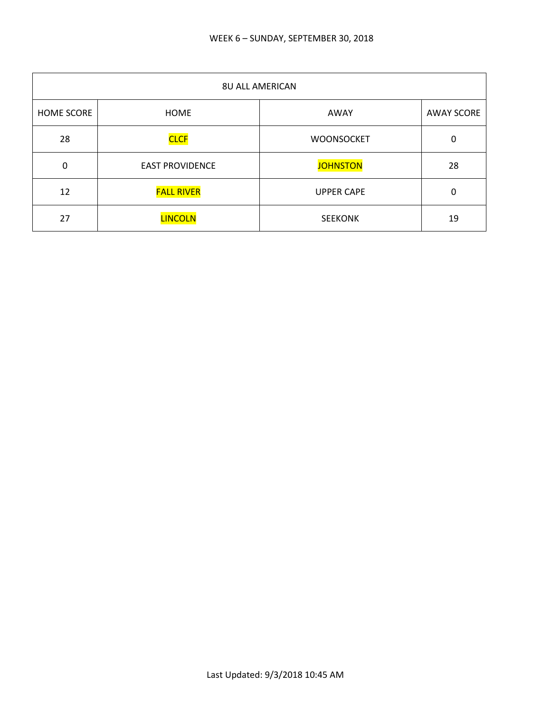| <b>8U ALL AMERICAN</b> |                        |                   |                   |
|------------------------|------------------------|-------------------|-------------------|
| <b>HOME SCORE</b>      | <b>HOME</b>            | AWAY              | <b>AWAY SCORE</b> |
| 28                     | <b>CLCF</b>            | <b>WOONSOCKET</b> | 0                 |
| 0                      | <b>EAST PROVIDENCE</b> | <b>JOHNSTON</b>   | 28                |
| 12                     | <b>FALL RIVER</b>      | <b>UPPER CAPE</b> | 0                 |
| 27                     | <b>LINCOLN</b>         | <b>SEEKONK</b>    | 19                |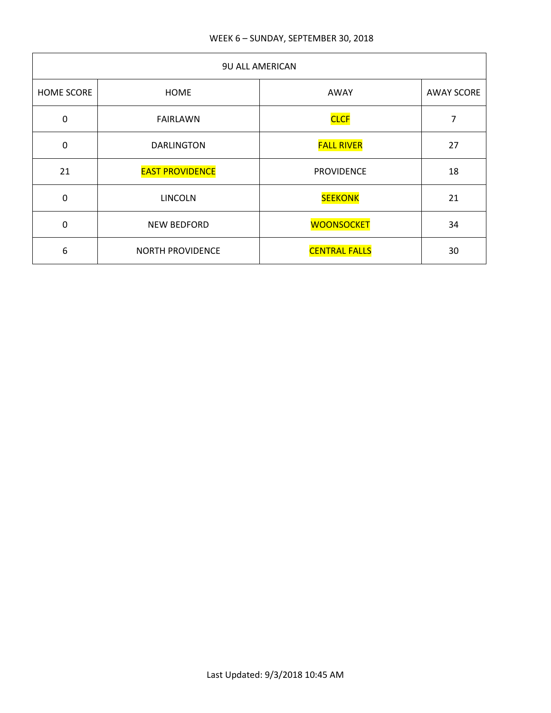| <b>9U ALL AMERICAN</b> |                         |                      |                   |
|------------------------|-------------------------|----------------------|-------------------|
| <b>HOME SCORE</b>      | <b>HOME</b>             | AWAY                 | <b>AWAY SCORE</b> |
| $\mathbf 0$            | <b>FAIRLAWN</b>         | <b>CLCF</b>          | 7                 |
| $\mathbf 0$            | <b>DARLINGTON</b>       | <b>FALL RIVER</b>    | 27                |
| 21                     | <b>EAST PROVIDENCE</b>  | <b>PROVIDENCE</b>    | 18                |
| $\mathbf 0$            | <b>LINCOLN</b>          | <b>SEEKONK</b>       | 21                |
| $\mathbf 0$            | <b>NEW BEDFORD</b>      | <b>WOONSOCKET</b>    | 34                |
| 6                      | <b>NORTH PROVIDENCE</b> | <b>CENTRAL FALLS</b> | 30                |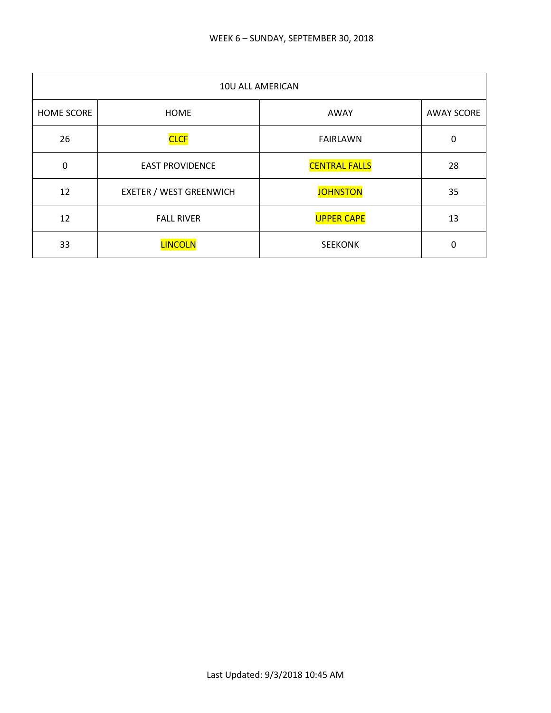| 10U ALL AMERICAN  |                                |                      |                   |
|-------------------|--------------------------------|----------------------|-------------------|
| <b>HOME SCORE</b> | <b>HOME</b>                    | AWAY                 | <b>AWAY SCORE</b> |
| 26                | <b>CLCF</b>                    | <b>FAIRLAWN</b>      | 0                 |
| 0                 | <b>EAST PROVIDENCE</b>         | <b>CENTRAL FALLS</b> | 28                |
| 12                | <b>EXETER / WEST GREENWICH</b> | <b>JOHNSTON</b>      | 35                |
| 12                | <b>FALL RIVER</b>              | <b>UPPER CAPE</b>    | 13                |
| 33                | <b>LINCOLN</b>                 | <b>SEEKONK</b>       | 0                 |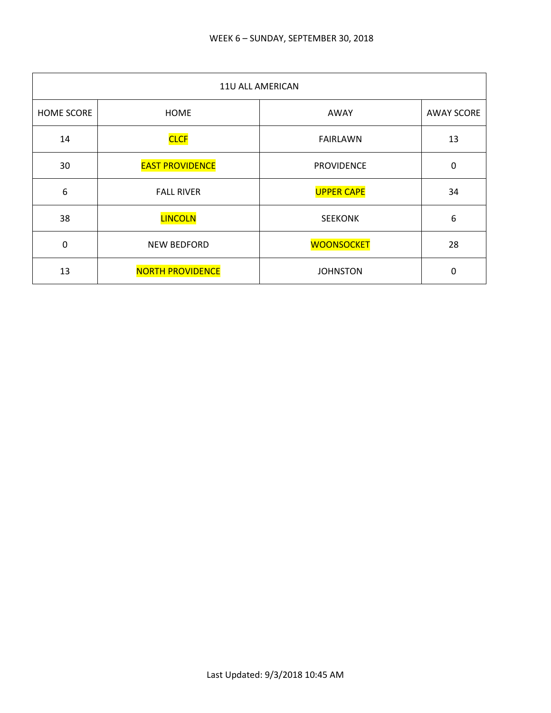| 11U ALL AMERICAN |                         |                   |                   |
|------------------|-------------------------|-------------------|-------------------|
| HOME SCORE       | <b>HOME</b>             | AWAY              | <b>AWAY SCORE</b> |
| 14               | <b>CLCF</b>             | <b>FAIRLAWN</b>   | 13                |
| 30               | <b>EAST PROVIDENCE</b>  | <b>PROVIDENCE</b> | $\pmb{0}$         |
| 6                | <b>FALL RIVER</b>       | <b>UPPER CAPE</b> | 34                |
| 38               | <b>LINCOLN</b>          | <b>SEEKONK</b>    | 6                 |
| 0                | NEW BEDFORD             | <b>WOONSOCKET</b> | 28                |
| 13               | <b>NORTH PROVIDENCE</b> | <b>JOHNSTON</b>   | 0                 |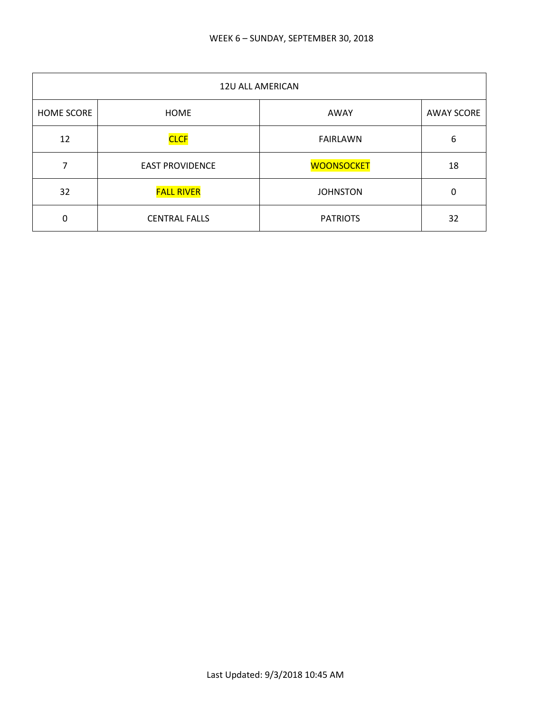| 12U ALL AMERICAN  |                        |                   |                   |
|-------------------|------------------------|-------------------|-------------------|
| <b>HOME SCORE</b> | <b>HOME</b>            | AWAY              | <b>AWAY SCORE</b> |
| 12                | <b>CLCF</b>            | <b>FAIRLAWN</b>   | 6                 |
|                   | <b>EAST PROVIDENCE</b> | <b>WOONSOCKET</b> | 18                |
| 32                | <b>FALL RIVER</b>      | <b>JOHNSTON</b>   | 0                 |
| 0                 | <b>CENTRAL FALLS</b>   | <b>PATRIOTS</b>   | 32                |